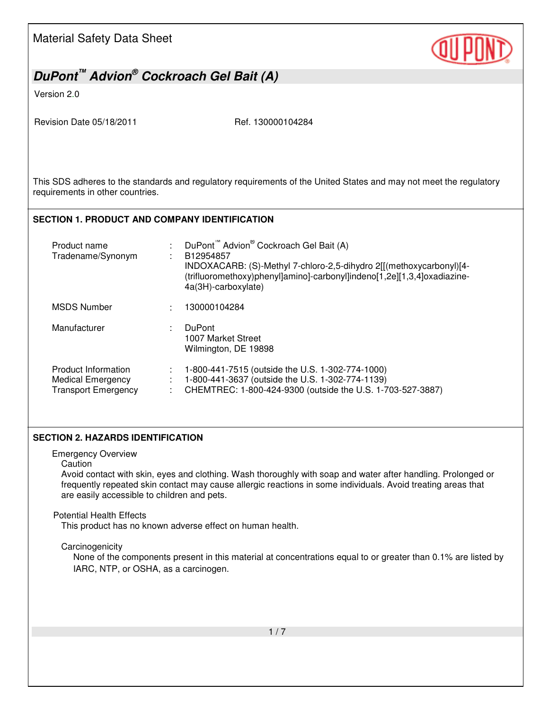# *DuPont™ Advion® Cockroach Gel Bait (A)*

Version 2.0

Revision Date 05/18/2011 Ref. 130000104284

This SDS adheres to the standards and regulatory requirements of the United States and may not meet the regulatory requirements in other countries.

### **SECTION 1. PRODUCT AND COMPANY IDENTIFICATION**

| Product name<br>Tradename/Synonym                                             | DuPont <sup>"</sup> Advion <sup>®</sup> Cockroach Gel Bait (A)<br>B12954857<br>INDOXACARB: (S)-Methyl 7-chloro-2,5-dihydro 2[[(methoxycarbonyl)[4-<br>(trifluoromethoxy)phenyl]amino]-carbonyl]indeno[1,2e][1,3,4]oxadiazine-<br>4a(3H)-carboxylate) |
|-------------------------------------------------------------------------------|------------------------------------------------------------------------------------------------------------------------------------------------------------------------------------------------------------------------------------------------------|
| <b>MSDS Number</b>                                                            | 130000104284                                                                                                                                                                                                                                         |
| Manufacturer                                                                  | <b>DuPont</b><br>1007 Market Street<br>Wilmington, DE 19898                                                                                                                                                                                          |
| Product Information<br><b>Medical Emergency</b><br><b>Transport Emergency</b> | 1-800-441-7515 (outside the U.S. 1-302-774-1000)<br>1-800-441-3637 (outside the U.S. 1-302-774-1139)<br>CHEMTREC: 1-800-424-9300 (outside the U.S. 1-703-527-3887)                                                                                   |

#### **SECTION 2. HAZARDS IDENTIFICATION**

Emergency Overview

**Caution** 

Avoid contact with skin, eyes and clothing. Wash thoroughly with soap and water after handling. Prolonged or frequently repeated skin contact may cause allergic reactions in some individuals. Avoid treating areas that are easily accessible to children and pets.

#### Potential Health Effects

This product has no known adverse effect on human health.

#### **Carcinogenicity**

None of the components present in this material at concentrations equal to or greater than 0.1% are listed by IARC, NTP, or OSHA, as a carcinogen.

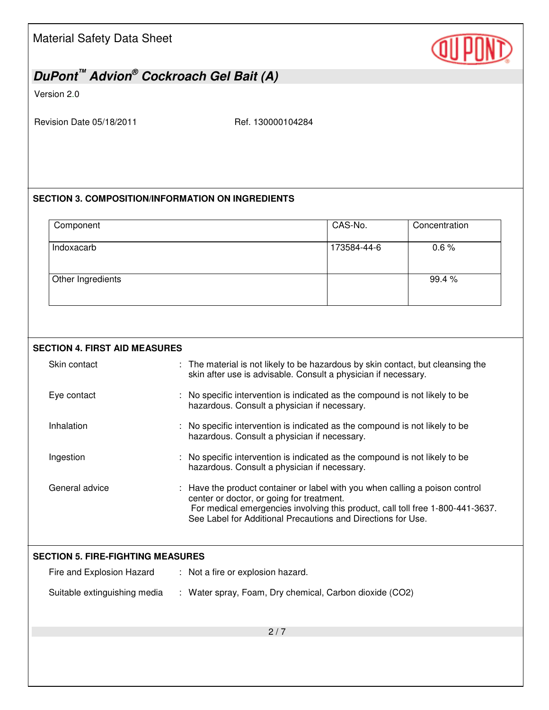

## *DuPont™ Advion® Cockroach Gel Bait (A)*

Version 2.0

Revision Date 05/18/2011 Ref. 130000104284

### **SECTION 3. COMPOSITION/INFORMATION ON INGREDIENTS**

| Component         | CAS-No.     | Concentration |
|-------------------|-------------|---------------|
| Indoxacarb        | 173584-44-6 | 0.6%          |
| Other Ingredients |             | 99.4 %        |

#### **SECTION 4. FIRST AID MEASURES**

| Skin contact                             | : The material is not likely to be hazardous by skin contact, but cleansing the<br>skin after use is advisable. Consult a physician if necessary.                                                                                                                         |
|------------------------------------------|---------------------------------------------------------------------------------------------------------------------------------------------------------------------------------------------------------------------------------------------------------------------------|
| Eye contact                              | No specific intervention is indicated as the compound is not likely to be<br>hazardous. Consult a physician if necessary.                                                                                                                                                 |
| Inhalation                               | No specific intervention is indicated as the compound is not likely to be<br>hazardous. Consult a physician if necessary.                                                                                                                                                 |
| Ingestion                                | No specific intervention is indicated as the compound is not likely to be<br>hazardous. Consult a physician if necessary.                                                                                                                                                 |
| General advice                           | Have the product container or label with you when calling a poison control<br>center or doctor, or going for treatment.<br>For medical emergencies involving this product, call toll free 1-800-441-3637.<br>See Label for Additional Precautions and Directions for Use. |
| <b>SECTION 5. FIRE-FIGHTING MEASURES</b> |                                                                                                                                                                                                                                                                           |
| Fire and Explosion Hazard                | : Not a fire or explosion hazard.                                                                                                                                                                                                                                         |
| Suitable extinguishing media             | : Water spray, Foam, Dry chemical, Carbon dioxide (CO2)                                                                                                                                                                                                                   |
|                                          | 2/7                                                                                                                                                                                                                                                                       |
|                                          |                                                                                                                                                                                                                                                                           |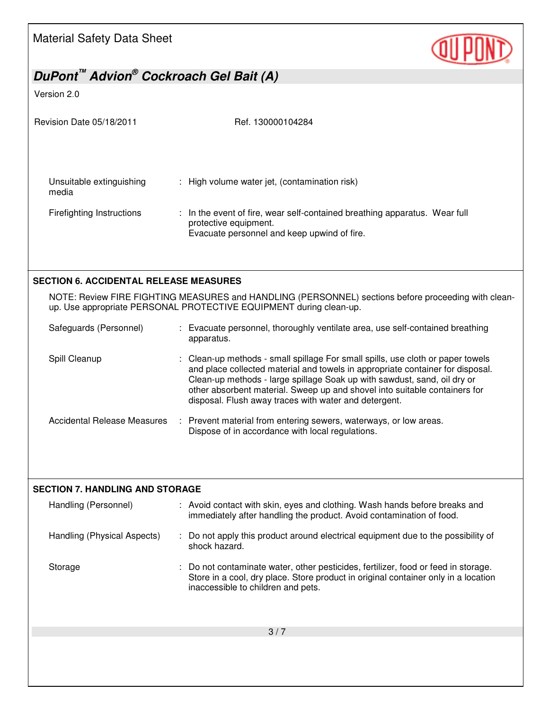

## *DuPont™ Advion® Cockroach Gel Bait (A)*

Version 2.0

| Revision Date 05/18/2011                      | Ref. 130000104284                                                                                                                                                                                                                                                                                                                                                                    |
|-----------------------------------------------|--------------------------------------------------------------------------------------------------------------------------------------------------------------------------------------------------------------------------------------------------------------------------------------------------------------------------------------------------------------------------------------|
| Unsuitable extinguishing<br>media             | : High volume water jet, (contamination risk)                                                                                                                                                                                                                                                                                                                                        |
| <b>Firefighting Instructions</b>              | : In the event of fire, wear self-contained breathing apparatus. Wear full<br>protective equipment.<br>Evacuate personnel and keep upwind of fire.                                                                                                                                                                                                                                   |
| <b>SECTION 6. ACCIDENTAL RELEASE MEASURES</b> |                                                                                                                                                                                                                                                                                                                                                                                      |
|                                               | NOTE: Review FIRE FIGHTING MEASURES and HANDLING (PERSONNEL) sections before proceeding with clean-<br>up. Use appropriate PERSONAL PROTECTIVE EQUIPMENT during clean-up.                                                                                                                                                                                                            |
| Safeguards (Personnel)                        | : Evacuate personnel, thoroughly ventilate area, use self-contained breathing<br>apparatus.                                                                                                                                                                                                                                                                                          |
| Spill Cleanup                                 | : Clean-up methods - small spillage For small spills, use cloth or paper towels<br>and place collected material and towels in appropriate container for disposal.<br>Clean-up methods - large spillage Soak up with sawdust, sand, oil dry or<br>other absorbent material. Sweep up and shovel into suitable containers for<br>disposal. Flush away traces with water and detergent. |
| <b>Accidental Release Measures</b>            | : Prevent material from entering sewers, waterways, or low areas.<br>Dispose of in accordance with local regulations.                                                                                                                                                                                                                                                                |
| <b>SECTION 7. HANDLING AND STORAGE</b>        |                                                                                                                                                                                                                                                                                                                                                                                      |
| Handling (Personnel)                          | : Avoid contact with skin, eyes and clothing. Wash hands before breaks and<br>immediately after handling the product. Avoid contamination of food.                                                                                                                                                                                                                                   |
| Handling (Physical Aspects)                   | : Do not apply this product around electrical equipment due to the possibility of<br>shock hazard.                                                                                                                                                                                                                                                                                   |
| Storage                                       | : Do not contaminate water, other pesticides, fertilizer, food or feed in storage.<br>Store in a cool, dry place. Store product in original container only in a location<br>inaccessible to children and pets.                                                                                                                                                                       |
|                                               | 3/7                                                                                                                                                                                                                                                                                                                                                                                  |
|                                               |                                                                                                                                                                                                                                                                                                                                                                                      |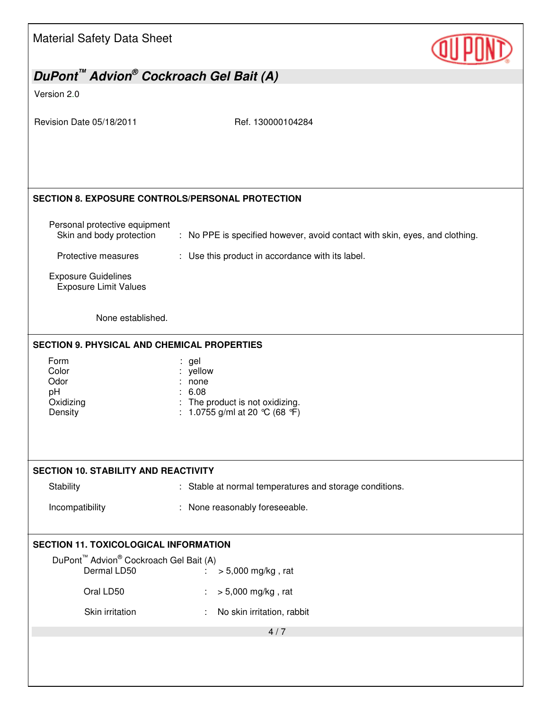| <b>Material Safety Data Sheet</b>                                             |                                                                                                    |
|-------------------------------------------------------------------------------|----------------------------------------------------------------------------------------------------|
| DuPont <sup>™</sup> Advion <sup>®</sup> Cockroach Gel Bait (A)                |                                                                                                    |
| Version 2.0                                                                   |                                                                                                    |
| Revision Date 05/18/2011                                                      | Ref. 130000104284                                                                                  |
| <b>SECTION 8. EXPOSURE CONTROLS/PERSONAL PROTECTION</b>                       |                                                                                                    |
| Personal protective equipment<br>Skin and body protection                     | : No PPE is specified however, avoid contact with skin, eyes, and clothing.                        |
| Protective measures                                                           | : Use this product in accordance with its label.                                                   |
| <b>Exposure Guidelines</b><br><b>Exposure Limit Values</b>                    |                                                                                                    |
| None established.                                                             |                                                                                                    |
| <b>SECTION 9. PHYSICAL AND CHEMICAL PROPERTIES</b>                            |                                                                                                    |
| Form<br>Color<br>Odor<br>pH<br>Oxidizing<br>Density                           | : gel<br>yellow<br>none<br>6.08<br>: The product is not oxidizing.<br>1.0755 g/ml at 20 °C (68 °F) |
| <b>SECTION 10. STABILITY AND REACTIVITY</b>                                   |                                                                                                    |
| Stability                                                                     | : Stable at normal temperatures and storage conditions.                                            |
| Incompatibility                                                               | : None reasonably foreseeable.                                                                     |
| <b>SECTION 11. TOXICOLOGICAL INFORMATION</b>                                  |                                                                                                    |
| DuPont <sup>™</sup> Advion <sup>®</sup> Cockroach Gel Bait (A)<br>Dermal LD50 |                                                                                                    |
| Oral LD50                                                                     | > 5,000 mg/kg, rat<br>$\mathbb{R}^n$                                                               |
| Skin irritation                                                               | $> 5,000$ mg/kg, rat                                                                               |
|                                                                               | No skin irritation, rabbit<br>4/7                                                                  |
|                                                                               |                                                                                                    |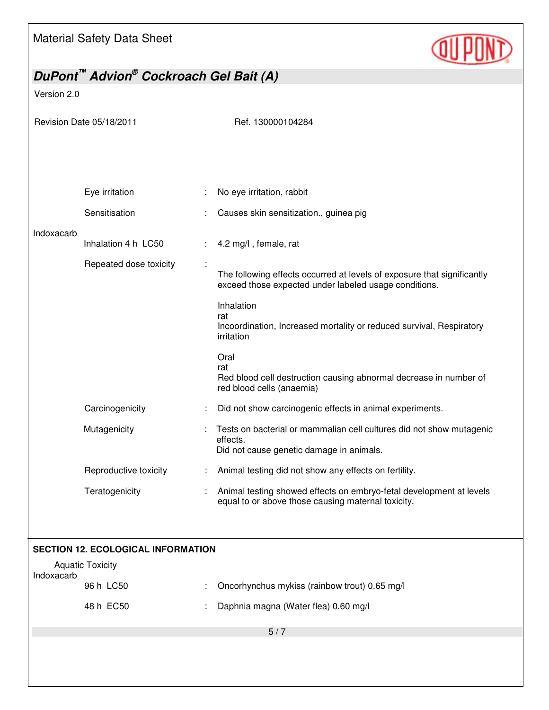

# *DuPont™ Advion® Cockroach Gel Bait (A)*  Version 2.0 Revision Date 05/18/2011 Ref. 130000104284 5 / 7 Eye irritation : No eye irritation, rabbit Sensitisation : Causes skin sensitization., guinea pig Indoxacarb Inhalation 4 h LC50 : 4.2 mg/l, female, rat Repeated dose toxicity : The following effects occurred at levels of exposure that significantly exceed those expected under labeled usage conditions. Inhalation rat Incoordination, Increased mortality or reduced survival, Respiratory irritation Oral rat Red blood cell destruction causing abnormal decrease in number of red blood cells (anaemia) Carcinogenicity : Did not show carcinogenic effects in animal experiments. Mutagenicity **interpretent in the Communist Communist Communist Communist Communist Communist Communist Communist Communist Communist Communist Communist Communist Communist Communist Communist Communist Communist Communis** effects. Did not cause genetic damage in animals. Reproductive toxicity : Animal testing did not show any effects on fertility. Teratogenicity **Exercise :** Animal testing showed effects on embryo-fetal development at levels equal to or above those causing maternal toxicity. **SECTION 12. ECOLOGICAL INFORMATION**  Aquatic Toxicity Indoxacarb 96 h LC50 : Oncorhynchus mykiss (rainbow trout) 0.65 mg/l 48 h EC50 : Daphnia magna (Water flea) 0.60 mg/l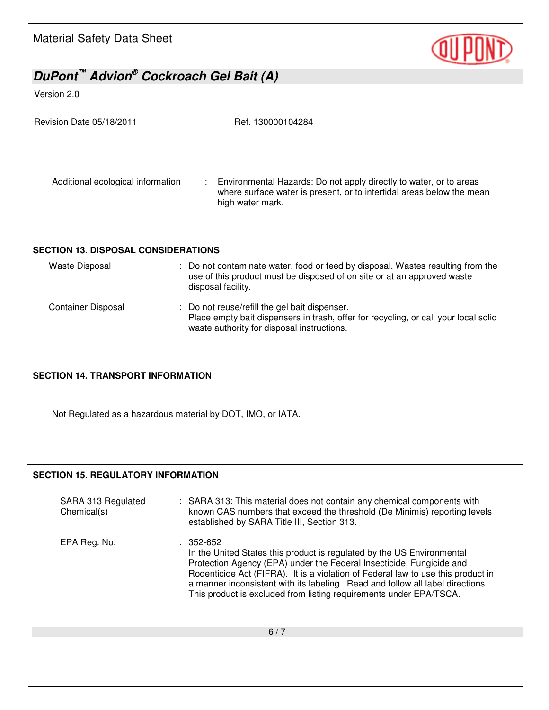

| DuPont <sup>™</sup> Advion <sup>®</sup> Cockroach Gel Bait (A) |                                                                                                                                                                                                                                                                                                                                                                                                           |  |  |  |
|----------------------------------------------------------------|-----------------------------------------------------------------------------------------------------------------------------------------------------------------------------------------------------------------------------------------------------------------------------------------------------------------------------------------------------------------------------------------------------------|--|--|--|
| Version 2.0                                                    |                                                                                                                                                                                                                                                                                                                                                                                                           |  |  |  |
| Revision Date 05/18/2011                                       | Ref. 130000104284                                                                                                                                                                                                                                                                                                                                                                                         |  |  |  |
| Additional ecological information                              | Environmental Hazards: Do not apply directly to water, or to areas<br>where surface water is present, or to intertidal areas below the mean<br>high water mark.                                                                                                                                                                                                                                           |  |  |  |
| <b>SECTION 13. DISPOSAL CONSIDERATIONS</b>                     |                                                                                                                                                                                                                                                                                                                                                                                                           |  |  |  |
| <b>Waste Disposal</b>                                          | : Do not contaminate water, food or feed by disposal. Wastes resulting from the<br>use of this product must be disposed of on site or at an approved waste<br>disposal facility.                                                                                                                                                                                                                          |  |  |  |
| <b>Container Disposal</b>                                      | : Do not reuse/refill the gel bait dispenser.<br>Place empty bait dispensers in trash, offer for recycling, or call your local solid<br>waste authority for disposal instructions.                                                                                                                                                                                                                        |  |  |  |
|                                                                | Not Regulated as a hazardous material by DOT, IMO, or IATA.                                                                                                                                                                                                                                                                                                                                               |  |  |  |
| <b>SECTION 15. REGULATORY INFORMATION</b>                      |                                                                                                                                                                                                                                                                                                                                                                                                           |  |  |  |
| SARA 313 Regulated<br>Chemical(s)                              | : SARA 313: This material does not contain any chemical components with<br>known CAS numbers that exceed the threshold (De Minimis) reporting levels<br>established by SARA Title III, Section 313.                                                                                                                                                                                                       |  |  |  |
| EPA Reg. No.                                                   | $: 352-652$<br>In the United States this product is regulated by the US Environmental<br>Protection Agency (EPA) under the Federal Insecticide, Fungicide and<br>Rodenticide Act (FIFRA). It is a violation of Federal law to use this product in<br>a manner inconsistent with its labeling. Read and follow all label directions.<br>This product is excluded from listing requirements under EPA/TSCA. |  |  |  |
|                                                                | 6/7                                                                                                                                                                                                                                                                                                                                                                                                       |  |  |  |
|                                                                |                                                                                                                                                                                                                                                                                                                                                                                                           |  |  |  |